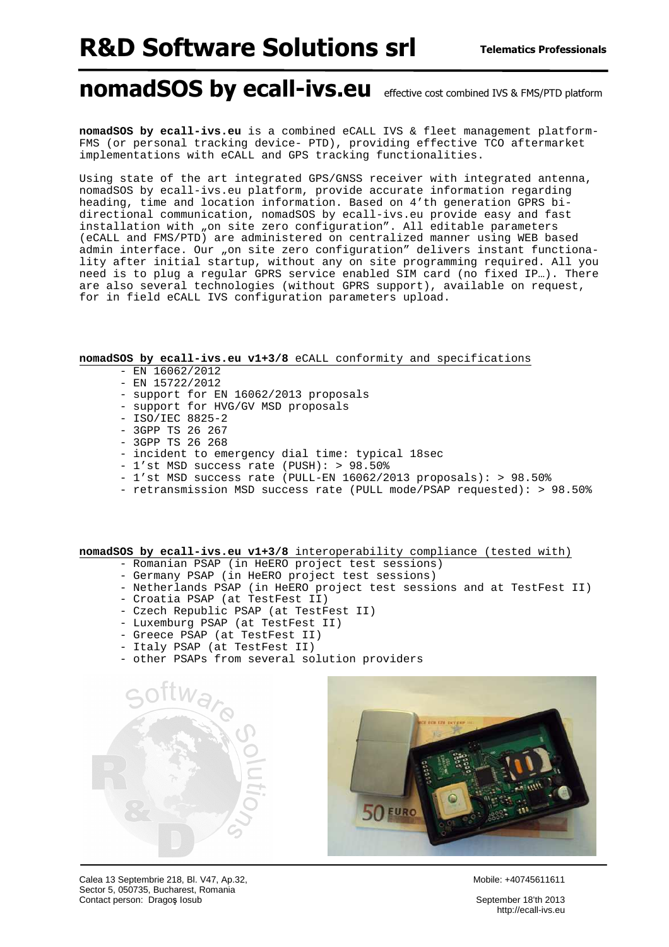## R&D Software Solutions srl

### nomadSOS by ecall-ivs.eu effective cost combined IVS & FMS/PTD platform

**nomadSOS by ecall-ivs.eu** is a combined eCALL IVS & fleet management platform-FMS (or personal tracking device- PTD), providing effective TCO aftermarket implementations with eCALL and GPS tracking functionalities.

Using state of the art integrated GPS/GNSS receiver with integrated antenna, nomadSOS by ecall-ivs.eu platform, provide accurate information regarding heading, time and location information. Based on 4'th generation GPRS bidirectional communication, nomadSOS by ecall-ivs.eu provide easy and fast installation with "on site zero configuration". All editable parameters (eCALL and FMS/PTD) are administered on centralized manner using WEB based admin interface. Our "on site zero configuration" delivers instant functionality after initial startup, without any on site programming required. All you need is to plug a regular GPRS service enabled SIM card (no fixed IP…). There are also several technologies (without GPRS support), available on request, for in field eCALL IVS configuration parameters upload.

#### **nomadSOS by ecall-ivs.eu v1+3/8** eCALL conformity and specifications

- EN 16062/2012
- EN 15722/2012
- support for EN 16062/2013 proposals
- support for HVG/GV MSD proposals
- ISO/IEC 8825-2
- 3GPP TS 26 267
- 3GPP TS 26 268
- incident to emergency dial time: typical 18sec
- 1'st MSD success rate (PUSH): > 98.50%
- 1'st MSD success rate (PULL-EN 16062/2013 proposals): > 98.50%
- retransmission MSD success rate (PULL mode/PSAP requested): > 98.50%

#### **nomadSOS by ecall-ivs.eu v1+3/8** interoperability compliance (tested with)

- Romanian PSAP (in HeERO project test sessions)
- Germany PSAP (in HeERO project test sessions)
- Netherlands PSAP (in HeERO project test sessions and at TestFest II)
- Croatia PSAP (at TestFest II)
- Czech Republic PSAP (at TestFest II)
- Luxemburg PSAP (at TestFest II)
- Greece PSAP (at TestFest II)
- Italy PSAP (at TestFest II)
- other PSAPs from several solution providers





Calea 13 Septembrie 218, Bl. V47, Ap.32, No. 32, No. 32, Nobile: +40745611611 Sector 5, 050735, Bucharest, Romania Contact person: Dragos Iosub September 18'th 2013

http://ecall-ivs.eu